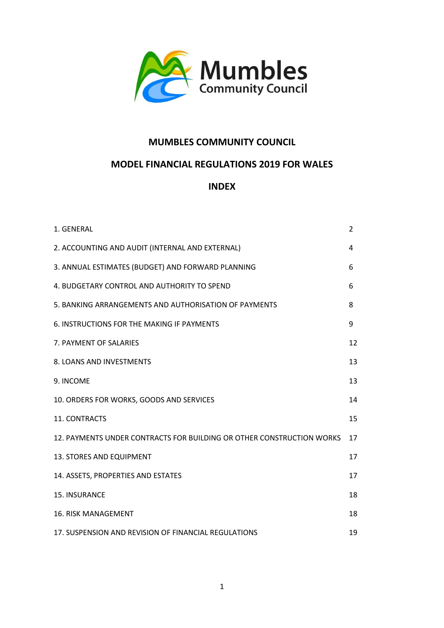

# **MUMBLES COMMUNITY COUNCIL**

# **MODEL FINANCIAL REGULATIONS 2019 FOR WALES**

## **INDEX**

| 1. GENERAL                                                            | $\overline{2}$ |
|-----------------------------------------------------------------------|----------------|
| 2. ACCOUNTING AND AUDIT (INTERNAL AND EXTERNAL)                       | 4              |
| 3. ANNUAL ESTIMATES (BUDGET) AND FORWARD PLANNING                     | 6              |
| 4. BUDGETARY CONTROL AND AUTHORITY TO SPEND                           | 6              |
| 5. BANKING ARRANGEMENTS AND AUTHORISATION OF PAYMENTS                 | 8              |
| 6. INSTRUCTIONS FOR THE MAKING IF PAYMENTS                            | 9              |
| 7. PAYMENT OF SALARIES                                                | 12             |
| 8. LOANS AND INVESTMENTS                                              | 13             |
| 9. INCOME                                                             | 13             |
| 10. ORDERS FOR WORKS, GOODS AND SERVICES                              | 14             |
| 11. CONTRACTS                                                         | 15             |
| 12. PAYMENTS UNDER CONTRACTS FOR BUILDING OR OTHER CONSTRUCTION WORKS | 17             |
| 13. STORES AND EQUIPMENT                                              | 17             |
| 14. ASSETS, PROPERTIES AND ESTATES                                    | 17             |
| 15. INSURANCE                                                         | 18             |
| <b>16. RISK MANAGEMENT</b>                                            | 18             |
| 17. SUSPENSION AND REVISION OF FINANCIAL REGULATIONS                  | 19             |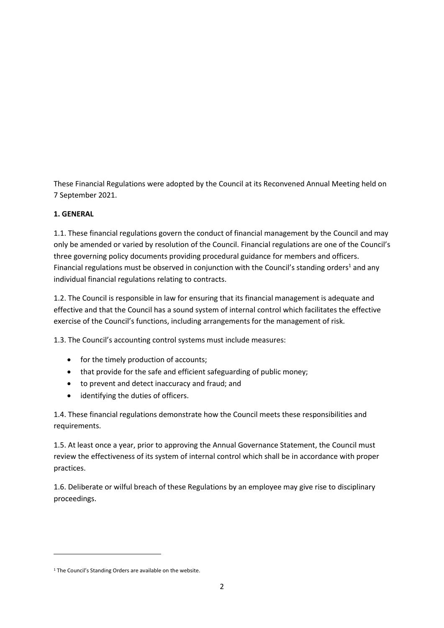These Financial Regulations were adopted by the Council at its Reconvened Annual Meeting held on 7 September 2021.

### **1. GENERAL**

1.1. These financial regulations govern the conduct of financial management by the Council and may only be amended or varied by resolution of the Council. Financial regulations are one of the Council's three governing policy documents providing procedural guidance for members and officers. Financial regulations must be observed in conjunction with the Council's standing orders<sup>1</sup> and any individual financial regulations relating to contracts.

1.2. The Council is responsible in law for ensuring that its financial management is adequate and effective and that the Council has a sound system of internal control which facilitates the effective exercise of the Council's functions, including arrangements for the management of risk.

1.3. The Council's accounting control systems must include measures:

- for the timely production of accounts;
- that provide for the safe and efficient safeguarding of public money;
- to prevent and detect inaccuracy and fraud; and
- identifying the duties of officers.

1.4. These financial regulations demonstrate how the Council meets these responsibilities and requirements.

1.5. At least once a year, prior to approving the Annual Governance Statement, the Council must review the effectiveness of its system of internal control which shall be in accordance with proper practices.

1.6. Deliberate or wilful breach of these Regulations by an employee may give rise to disciplinary proceedings.

<sup>&</sup>lt;sup>1</sup> The Council's Standing Orders are available on the website.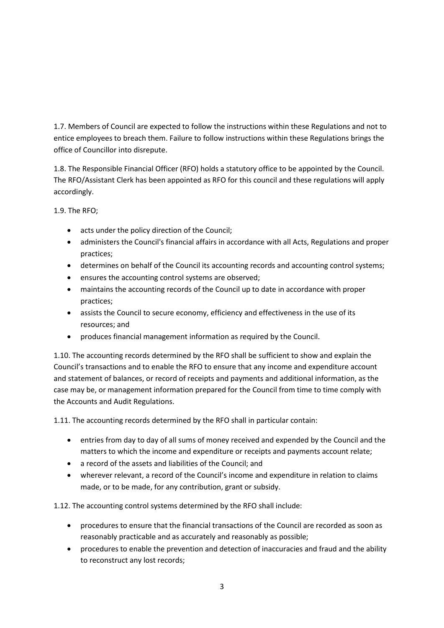1.7. Members of Council are expected to follow the instructions within these Regulations and not to entice employees to breach them. Failure to follow instructions within these Regulations brings the office of Councillor into disrepute.

1.8. The Responsible Financial Officer (RFO) holds a statutory office to be appointed by the Council. The RFO/Assistant Clerk has been appointed as RFO for this council and these regulations will apply accordingly.

1.9. The RFO;

- acts under the policy direction of the Council;
- administers the Council's financial affairs in accordance with all Acts, Regulations and proper practices;
- determines on behalf of the Council its accounting records and accounting control systems;
- ensures the accounting control systems are observed;
- maintains the accounting records of the Council up to date in accordance with proper practices;
- assists the Council to secure economy, efficiency and effectiveness in the use of its resources; and
- produces financial management information as required by the Council.

1.10. The accounting records determined by the RFO shall be sufficient to show and explain the Council's transactions and to enable the RFO to ensure that any income and expenditure account and statement of balances, or record of receipts and payments and additional information, as the case may be, or management information prepared for the Council from time to time comply with the Accounts and Audit Regulations.

1.11. The accounting records determined by the RFO shall in particular contain:

- entries from day to day of all sums of money received and expended by the Council and the matters to which the income and expenditure or receipts and payments account relate;
- a record of the assets and liabilities of the Council; and
- wherever relevant, a record of the Council's income and expenditure in relation to claims made, or to be made, for any contribution, grant or subsidy.

1.12. The accounting control systems determined by the RFO shall include:

- procedures to ensure that the financial transactions of the Council are recorded as soon as reasonably practicable and as accurately and reasonably as possible;
- procedures to enable the prevention and detection of inaccuracies and fraud and the ability to reconstruct any lost records;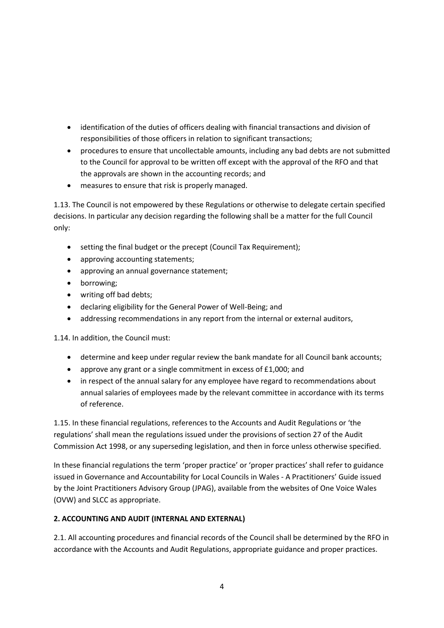- identification of the duties of officers dealing with financial transactions and division of responsibilities of those officers in relation to significant transactions;
- procedures to ensure that uncollectable amounts, including any bad debts are not submitted to the Council for approval to be written off except with the approval of the RFO and that the approvals are shown in the accounting records; and
- measures to ensure that risk is properly managed.

1.13. The Council is not empowered by these Regulations or otherwise to delegate certain specified decisions. In particular any decision regarding the following shall be a matter for the full Council only:

- setting the final budget or the precept (Council Tax Requirement);
- approving accounting statements;
- approving an annual governance statement;
- borrowing;
- writing off bad debts;
- declaring eligibility for the General Power of Well-Being; and
- addressing recommendations in any report from the internal or external auditors,

1.14. In addition, the Council must:

- determine and keep under regular review the bank mandate for all Council bank accounts;
- approve any grant or a single commitment in excess of £1,000; and
- in respect of the annual salary for any employee have regard to recommendations about annual salaries of employees made by the relevant committee in accordance with its terms of reference.

1.15. In these financial regulations, references to the Accounts and Audit Regulations or 'the regulations' shall mean the regulations issued under the provisions of section 27 of the Audit Commission Act 1998, or any superseding legislation, and then in force unless otherwise specified.

In these financial regulations the term 'proper practice' or 'proper practices' shall refer to guidance issued in Governance and Accountability for Local Councils in Wales - A Practitioners' Guide issued by the Joint Practitioners Advisory Group (JPAG), available from the websites of One Voice Wales (OVW) and SLCC as appropriate.

#### **2. ACCOUNTING AND AUDIT (INTERNAL AND EXTERNAL)**

2.1. All accounting procedures and financial records of the Council shall be determined by the RFO in accordance with the Accounts and Audit Regulations, appropriate guidance and proper practices.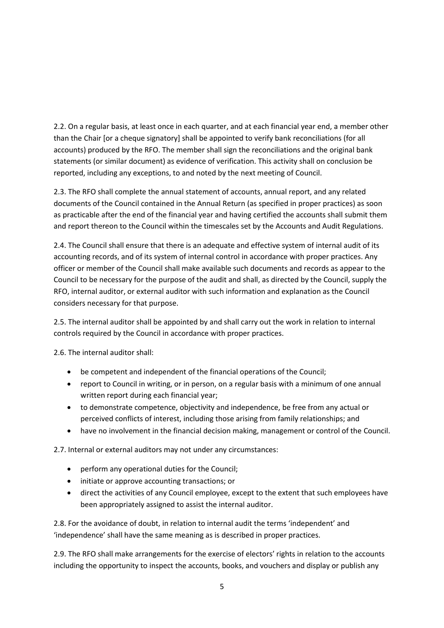2.2. On a regular basis, at least once in each quarter, and at each financial year end, a member other than the Chair [or a cheque signatory] shall be appointed to verify bank reconciliations (for all accounts) produced by the RFO. The member shall sign the reconciliations and the original bank statements (or similar document) as evidence of verification. This activity shall on conclusion be reported, including any exceptions, to and noted by the next meeting of Council.

2.3. The RFO shall complete the annual statement of accounts, annual report, and any related documents of the Council contained in the Annual Return (as specified in proper practices) as soon as practicable after the end of the financial year and having certified the accounts shall submit them and report thereon to the Council within the timescales set by the Accounts and Audit Regulations.

2.4. The Council shall ensure that there is an adequate and effective system of internal audit of its accounting records, and of its system of internal control in accordance with proper practices. Any officer or member of the Council shall make available such documents and records as appear to the Council to be necessary for the purpose of the audit and shall, as directed by the Council, supply the RFO, internal auditor, or external auditor with such information and explanation as the Council considers necessary for that purpose.

2.5. The internal auditor shall be appointed by and shall carry out the work in relation to internal controls required by the Council in accordance with proper practices.

2.6. The internal auditor shall:

- be competent and independent of the financial operations of the Council;
- report to Council in writing, or in person, on a regular basis with a minimum of one annual written report during each financial year;
- to demonstrate competence, objectivity and independence, be free from any actual or perceived conflicts of interest, including those arising from family relationships; and
- have no involvement in the financial decision making, management or control of the Council.

2.7. Internal or external auditors may not under any circumstances:

- perform any operational duties for the Council;
- initiate or approve accounting transactions; or
- direct the activities of any Council employee, except to the extent that such employees have been appropriately assigned to assist the internal auditor.

2.8. For the avoidance of doubt, in relation to internal audit the terms 'independent' and 'independence' shall have the same meaning as is described in proper practices.

2.9. The RFO shall make arrangements for the exercise of electors' rights in relation to the accounts including the opportunity to inspect the accounts, books, and vouchers and display or publish any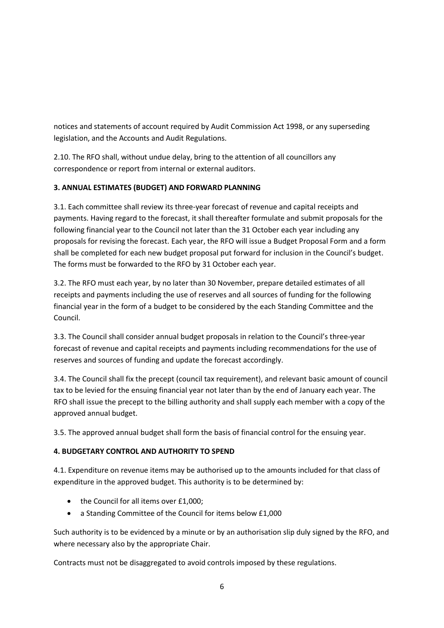notices and statements of account required by Audit Commission Act 1998, or any superseding legislation, and the Accounts and Audit Regulations.

2.10. The RFO shall, without undue delay, bring to the attention of all councillors any correspondence or report from internal or external auditors.

## **3. ANNUAL ESTIMATES (BUDGET) AND FORWARD PLANNING**

3.1. Each committee shall review its three-year forecast of revenue and capital receipts and payments. Having regard to the forecast, it shall thereafter formulate and submit proposals for the following financial year to the Council not later than the 31 October each year including any proposals for revising the forecast. Each year, the RFO will issue a Budget Proposal Form and a form shall be completed for each new budget proposal put forward for inclusion in the Council's budget. The forms must be forwarded to the RFO by 31 October each year.

3.2. The RFO must each year, by no later than 30 November, prepare detailed estimates of all receipts and payments including the use of reserves and all sources of funding for the following financial year in the form of a budget to be considered by the each Standing Committee and the Council.

3.3. The Council shall consider annual budget proposals in relation to the Council's three-year forecast of revenue and capital receipts and payments including recommendations for the use of reserves and sources of funding and update the forecast accordingly.

3.4. The Council shall fix the precept (council tax requirement), and relevant basic amount of council tax to be levied for the ensuing financial year not later than by the end of January each year. The RFO shall issue the precept to the billing authority and shall supply each member with a copy of the approved annual budget.

3.5. The approved annual budget shall form the basis of financial control for the ensuing year.

#### **4. BUDGETARY CONTROL AND AUTHORITY TO SPEND**

4.1. Expenditure on revenue items may be authorised up to the amounts included for that class of expenditure in the approved budget. This authority is to be determined by:

- the Council for all items over £1,000;
- a Standing Committee of the Council for items below £1,000

Such authority is to be evidenced by a minute or by an authorisation slip duly signed by the RFO, and where necessary also by the appropriate Chair.

Contracts must not be disaggregated to avoid controls imposed by these regulations.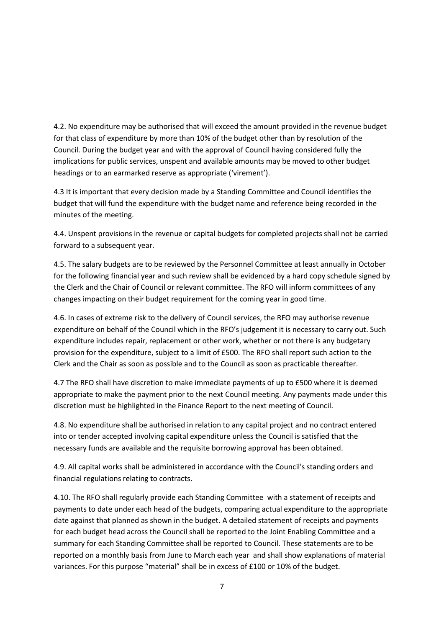4.2. No expenditure may be authorised that will exceed the amount provided in the revenue budget for that class of expenditure by more than 10% of the budget other than by resolution of the Council. During the budget year and with the approval of Council having considered fully the implications for public services, unspent and available amounts may be moved to other budget headings or to an earmarked reserve as appropriate ('virement').

4.3 It is important that every decision made by a Standing Committee and Council identifies the budget that will fund the expenditure with the budget name and reference being recorded in the minutes of the meeting.

4.4. Unspent provisions in the revenue or capital budgets for completed projects shall not be carried forward to a subsequent year.

4.5. The salary budgets are to be reviewed by the Personnel Committee at least annually in October for the following financial year and such review shall be evidenced by a hard copy schedule signed by the Clerk and the Chair of Council or relevant committee. The RFO will inform committees of any changes impacting on their budget requirement for the coming year in good time.

4.6. In cases of extreme risk to the delivery of Council services, the RFO may authorise revenue expenditure on behalf of the Council which in the RFO's judgement it is necessary to carry out. Such expenditure includes repair, replacement or other work, whether or not there is any budgetary provision for the expenditure, subject to a limit of £500. The RFO shall report such action to the Clerk and the Chair as soon as possible and to the Council as soon as practicable thereafter.

4.7 The RFO shall have discretion to make immediate payments of up to £500 where it is deemed appropriate to make the payment prior to the next Council meeting. Any payments made under this discretion must be highlighted in the Finance Report to the next meeting of Council.

4.8. No expenditure shall be authorised in relation to any capital project and no contract entered into or tender accepted involving capital expenditure unless the Council is satisfied that the necessary funds are available and the requisite borrowing approval has been obtained.

4.9. All capital works shall be administered in accordance with the Council's standing orders and financial regulations relating to contracts.

4.10. The RFO shall regularly provide each Standing Committee with a statement of receipts and payments to date under each head of the budgets, comparing actual expenditure to the appropriate date against that planned as shown in the budget. A detailed statement of receipts and payments for each budget head across the Council shall be reported to the Joint Enabling Committee and a summary for each Standing Committee shall be reported to Council. These statements are to be reported on a monthly basis from June to March each year and shall show explanations of material variances. For this purpose "material" shall be in excess of £100 or 10% of the budget.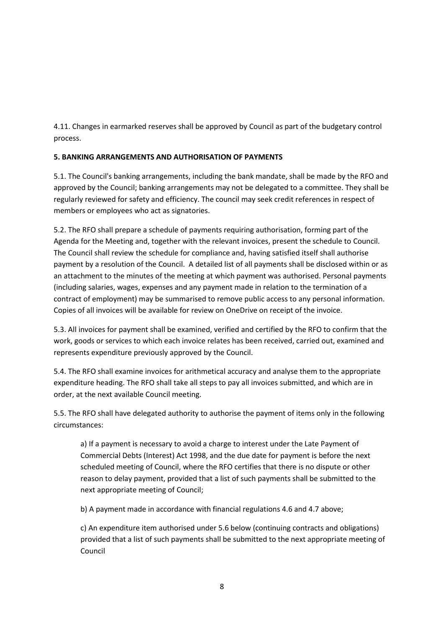4.11. Changes in earmarked reserves shall be approved by Council as part of the budgetary control process.

## **5. BANKING ARRANGEMENTS AND AUTHORISATION OF PAYMENTS**

5.1. The Council's banking arrangements, including the bank mandate, shall be made by the RFO and approved by the Council; banking arrangements may not be delegated to a committee. They shall be regularly reviewed for safety and efficiency. The council may seek credit references in respect of members or employees who act as signatories.

5.2. The RFO shall prepare a schedule of payments requiring authorisation, forming part of the Agenda for the Meeting and, together with the relevant invoices, present the schedule to Council. The Council shall review the schedule for compliance and, having satisfied itself shall authorise payment by a resolution of the Council. A detailed list of all payments shall be disclosed within or as an attachment to the minutes of the meeting at which payment was authorised. Personal payments (including salaries, wages, expenses and any payment made in relation to the termination of a contract of employment) may be summarised to remove public access to any personal information. Copies of all invoices will be available for review on OneDrive on receipt of the invoice.

5.3. All invoices for payment shall be examined, verified and certified by the RFO to confirm that the work, goods or services to which each invoice relates has been received, carried out, examined and represents expenditure previously approved by the Council.

5.4. The RFO shall examine invoices for arithmetical accuracy and analyse them to the appropriate expenditure heading. The RFO shall take all steps to pay all invoices submitted, and which are in order, at the next available Council meeting.

5.5. The RFO shall have delegated authority to authorise the payment of items only in the following circumstances:

a) If a payment is necessary to avoid a charge to interest under the Late Payment of Commercial Debts (Interest) Act 1998, and the due date for payment is before the next scheduled meeting of Council, where the RFO certifies that there is no dispute or other reason to delay payment, provided that a list of such payments shall be submitted to the next appropriate meeting of Council;

b) A payment made in accordance with financial regulations 4.6 and 4.7 above;

c) An expenditure item authorised under 5.6 below (continuing contracts and obligations) provided that a list of such payments shall be submitted to the next appropriate meeting of Council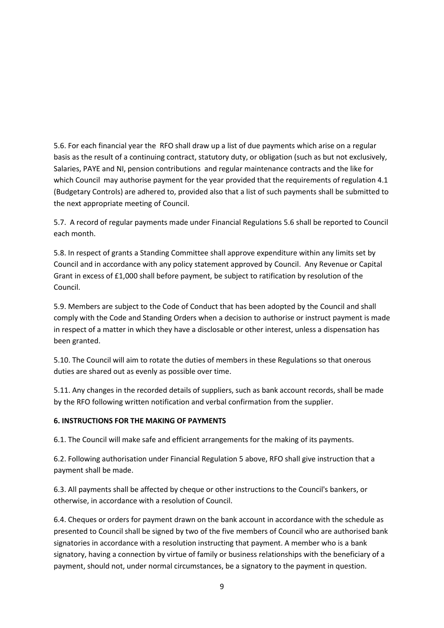5.6. For each financial year the RFO shall draw up a list of due payments which arise on a regular basis as the result of a continuing contract, statutory duty, or obligation (such as but not exclusively, Salaries, PAYE and NI, pension contributions and regular maintenance contracts and the like for which Council may authorise payment for the year provided that the requirements of regulation 4.1 (Budgetary Controls) are adhered to, provided also that a list of such payments shall be submitted to the next appropriate meeting of Council.

5.7. A record of regular payments made under Financial Regulations 5.6 shall be reported to Council each month.

5.8. In respect of grants a Standing Committee shall approve expenditure within any limits set by Council and in accordance with any policy statement approved by Council. Any Revenue or Capital Grant in excess of £1,000 shall before payment, be subject to ratification by resolution of the Council.

5.9. Members are subject to the Code of Conduct that has been adopted by the Council and shall comply with the Code and Standing Orders when a decision to authorise or instruct payment is made in respect of a matter in which they have a disclosable or other interest, unless a dispensation has been granted.

5.10. The Council will aim to rotate the duties of members in these Regulations so that onerous duties are shared out as evenly as possible over time.

5.11. Any changes in the recorded details of suppliers, such as bank account records, shall be made by the RFO following written notification and verbal confirmation from the supplier.

#### **6. INSTRUCTIONS FOR THE MAKING OF PAYMENTS**

6.1. The Council will make safe and efficient arrangements for the making of its payments.

6.2. Following authorisation under Financial Regulation 5 above, RFO shall give instruction that a payment shall be made.

6.3. All payments shall be affected by cheque or other instructions to the Council's bankers, or otherwise, in accordance with a resolution of Council.

6.4. Cheques or orders for payment drawn on the bank account in accordance with the schedule as presented to Council shall be signed by two of the five members of Council who are authorised bank signatories in accordance with a resolution instructing that payment. A member who is a bank signatory, having a connection by virtue of family or business relationships with the beneficiary of a payment, should not, under normal circumstances, be a signatory to the payment in question.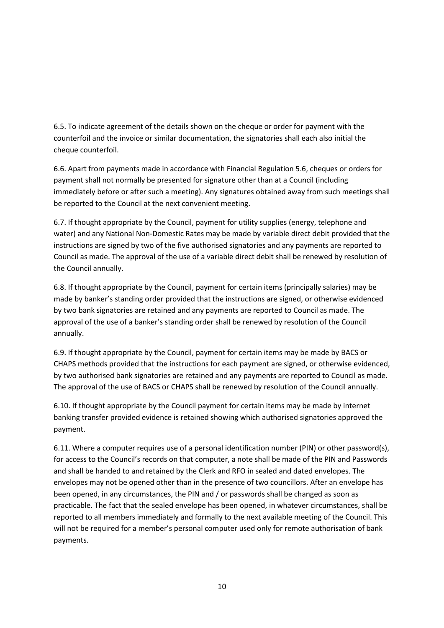6.5. To indicate agreement of the details shown on the cheque or order for payment with the counterfoil and the invoice or similar documentation, the signatories shall each also initial the cheque counterfoil.

6.6. Apart from payments made in accordance with Financial Regulation 5.6, cheques or orders for payment shall not normally be presented for signature other than at a Council (including immediately before or after such a meeting). Any signatures obtained away from such meetings shall be reported to the Council at the next convenient meeting.

6.7. If thought appropriate by the Council, payment for utility supplies (energy, telephone and water) and any National Non-Domestic Rates may be made by variable direct debit provided that the instructions are signed by two of the five authorised signatories and any payments are reported to Council as made. The approval of the use of a variable direct debit shall be renewed by resolution of the Council annually.

6.8. If thought appropriate by the Council, payment for certain items (principally salaries) may be made by banker's standing order provided that the instructions are signed, or otherwise evidenced by two bank signatories are retained and any payments are reported to Council as made. The approval of the use of a banker's standing order shall be renewed by resolution of the Council annually.

6.9. If thought appropriate by the Council, payment for certain items may be made by BACS or CHAPS methods provided that the instructions for each payment are signed, or otherwise evidenced, by two authorised bank signatories are retained and any payments are reported to Council as made. The approval of the use of BACS or CHAPS shall be renewed by resolution of the Council annually.

6.10. If thought appropriate by the Council payment for certain items may be made by internet banking transfer provided evidence is retained showing which authorised signatories approved the payment.

6.11. Where a computer requires use of a personal identification number (PIN) or other password(s), for access to the Council's records on that computer, a note shall be made of the PIN and Passwords and shall be handed to and retained by the Clerk and RFO in sealed and dated envelopes. The envelopes may not be opened other than in the presence of two councillors. After an envelope has been opened, in any circumstances, the PIN and / or passwords shall be changed as soon as practicable. The fact that the sealed envelope has been opened, in whatever circumstances, shall be reported to all members immediately and formally to the next available meeting of the Council. This will not be required for a member's personal computer used only for remote authorisation of bank payments.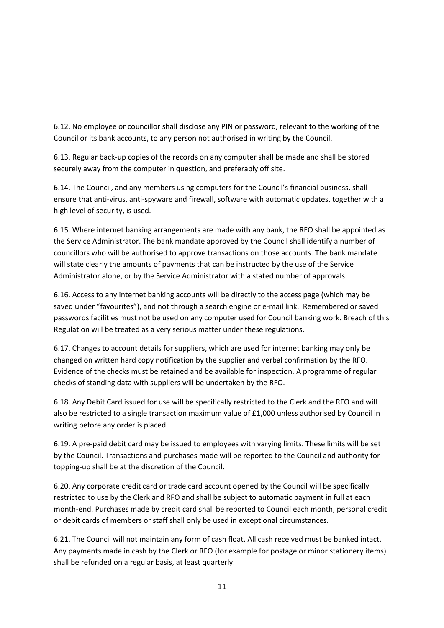6.12. No employee or councillor shall disclose any PIN or password, relevant to the working of the Council or its bank accounts, to any person not authorised in writing by the Council.

6.13. Regular back-up copies of the records on any computer shall be made and shall be stored securely away from the computer in question, and preferably off site.

6.14. The Council, and any members using computers for the Council's financial business, shall ensure that anti-virus, anti-spyware and firewall, software with automatic updates, together with a high level of security, is used.

6.15. Where internet banking arrangements are made with any bank, the RFO shall be appointed as the Service Administrator. The bank mandate approved by the Council shall identify a number of councillors who will be authorised to approve transactions on those accounts. The bank mandate will state clearly the amounts of payments that can be instructed by the use of the Service Administrator alone, or by the Service Administrator with a stated number of approvals.

6.16. Access to any internet banking accounts will be directly to the access page (which may be saved under "favourites"), and not through a search engine or e-mail link. Remembered or saved passwords facilities must not be used on any computer used for Council banking work. Breach of this Regulation will be treated as a very serious matter under these regulations.

6.17. Changes to account details for suppliers, which are used for internet banking may only be changed on written hard copy notification by the supplier and verbal confirmation by the RFO. Evidence of the checks must be retained and be available for inspection. A programme of regular checks of standing data with suppliers will be undertaken by the RFO.

6.18. Any Debit Card issued for use will be specifically restricted to the Clerk and the RFO and will also be restricted to a single transaction maximum value of £1,000 unless authorised by Council in writing before any order is placed.

6.19. A pre-paid debit card may be issued to employees with varying limits. These limits will be set by the Council. Transactions and purchases made will be reported to the Council and authority for topping-up shall be at the discretion of the Council.

6.20. Any corporate credit card or trade card account opened by the Council will be specifically restricted to use by the Clerk and RFO and shall be subject to automatic payment in full at each month-end. Purchases made by credit card shall be reported to Council each month, personal credit or debit cards of members or staff shall only be used in exceptional circumstances.

6.21. The Council will not maintain any form of cash float. All cash received must be banked intact. Any payments made in cash by the Clerk or RFO (for example for postage or minor stationery items) shall be refunded on a regular basis, at least quarterly.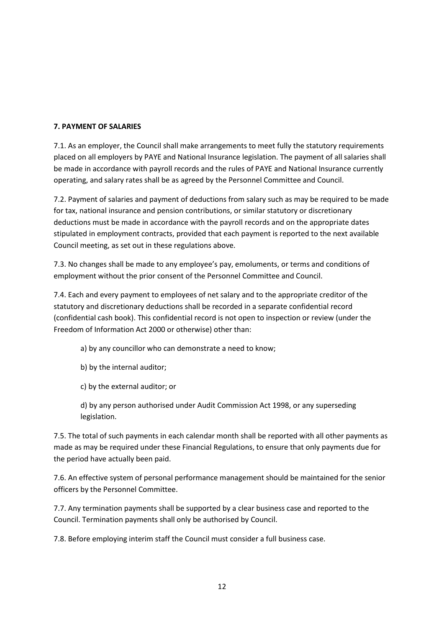#### **7. PAYMENT OF SALARIES**

7.1. As an employer, the Council shall make arrangements to meet fully the statutory requirements placed on all employers by PAYE and National Insurance legislation. The payment of all salaries shall be made in accordance with payroll records and the rules of PAYE and National Insurance currently operating, and salary rates shall be as agreed by the Personnel Committee and Council.

7.2. Payment of salaries and payment of deductions from salary such as may be required to be made for tax, national insurance and pension contributions, or similar statutory or discretionary deductions must be made in accordance with the payroll records and on the appropriate dates stipulated in employment contracts, provided that each payment is reported to the next available Council meeting, as set out in these regulations above.

7.3. No changes shall be made to any employee's pay, emoluments, or terms and conditions of employment without the prior consent of the Personnel Committee and Council.

7.4. Each and every payment to employees of net salary and to the appropriate creditor of the statutory and discretionary deductions shall be recorded in a separate confidential record (confidential cash book). This confidential record is not open to inspection or review (under the Freedom of Information Act 2000 or otherwise) other than:

- a) by any councillor who can demonstrate a need to know;
- b) by the internal auditor;
- c) by the external auditor; or

d) by any person authorised under Audit Commission Act 1998, or any superseding legislation.

7.5. The total of such payments in each calendar month shall be reported with all other payments as made as may be required under these Financial Regulations, to ensure that only payments due for the period have actually been paid.

7.6. An effective system of personal performance management should be maintained for the senior officers by the Personnel Committee.

7.7. Any termination payments shall be supported by a clear business case and reported to the Council. Termination payments shall only be authorised by Council.

7.8. Before employing interim staff the Council must consider a full business case.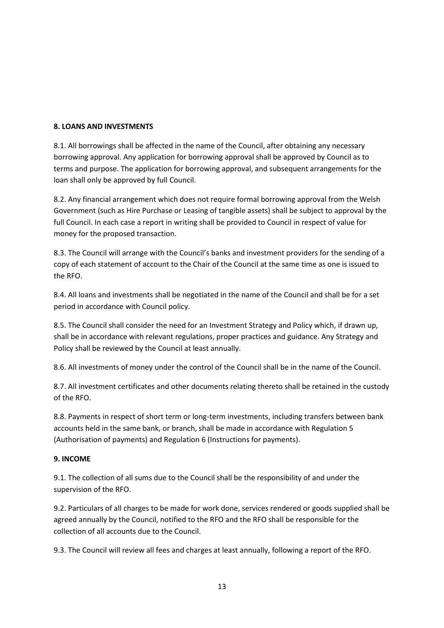#### **8. LOANS AND INVESTMENTS**

8.1. All borrowings shall be affected in the name of the Council, after obtaining any necessary borrowing approval. Any application for borrowing approval shall be approved by Council as to terms and purpose. The application for borrowing approval, and subsequent arrangements for the loan shall only be approved by full Council.

8.2. Any financial arrangement which does not require formal borrowing approval from the Welsh Government (such as Hire Purchase or Leasing of tangible assets) shall be subject to approval by the full Council. In each case a report in writing shall be provided to Council in respect of value for money for the proposed transaction.

8.3. The Council will arrange with the Council's banks and investment providers for the sending of a copy of each statement of account to the Chair of the Council at the same time as one is issued to the RFO.

8.4. All loans and investments shall be negotiated in the name of the Council and shall be for a set period in accordance with Council policy.

8.5. The Council shall consider the need for an Investment Strategy and Policy which, if drawn up, shall be in accordance with relevant regulations, proper practices and guidance. Any Strategy and Policy shall be reviewed by the Council at least annually.

8.6. All investments of money under the control of the Council shall be in the name of the Council.

8.7. All investment certificates and other documents relating thereto shall be retained in the custody of the RFO.

8.8. Payments in respect of short term or long-term investments, including transfers between bank accounts held in the same bank, or branch, shall be made in accordance with Regulation 5 (Authorisation of payments) and Regulation 6 (Instructions for payments).

#### **9. INCOME**

9.1. The collection of all sums due to the Council shall be the responsibility of and under the supervision of the RFO.

9.2. Particulars of all charges to be made for work done, services rendered or goods supplied shall be agreed annually by the Council, notified to the RFO and the RFO shall be responsible for the collection of all accounts due to the Council.

9.3. The Council will review all fees and charges at least annually, following a report of the RFO.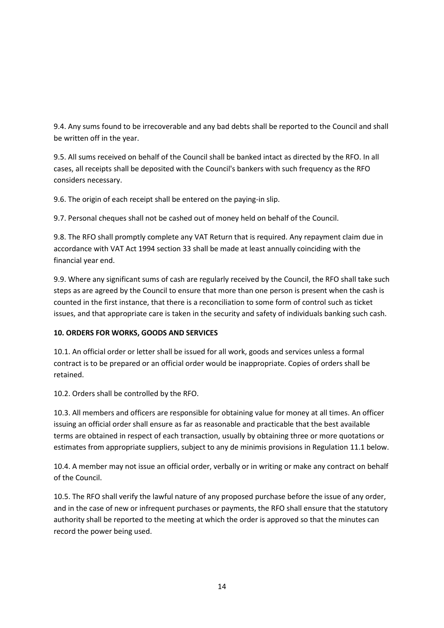9.4. Any sums found to be irrecoverable and any bad debts shall be reported to the Council and shall be written off in the year.

9.5. All sums received on behalf of the Council shall be banked intact as directed by the RFO. In all cases, all receipts shall be deposited with the Council's bankers with such frequency as the RFO considers necessary.

9.6. The origin of each receipt shall be entered on the paying-in slip.

9.7. Personal cheques shall not be cashed out of money held on behalf of the Council.

9.8. The RFO shall promptly complete any VAT Return that is required. Any repayment claim due in accordance with VAT Act 1994 section 33 shall be made at least annually coinciding with the financial year end.

9.9. Where any significant sums of cash are regularly received by the Council, the RFO shall take such steps as are agreed by the Council to ensure that more than one person is present when the cash is counted in the first instance, that there is a reconciliation to some form of control such as ticket issues, and that appropriate care is taken in the security and safety of individuals banking such cash.

#### **10. ORDERS FOR WORKS, GOODS AND SERVICES**

10.1. An official order or letter shall be issued for all work, goods and services unless a formal contract is to be prepared or an official order would be inappropriate. Copies of orders shall be retained.

10.2. Orders shall be controlled by the RFO.

10.3. All members and officers are responsible for obtaining value for money at all times. An officer issuing an official order shall ensure as far as reasonable and practicable that the best available terms are obtained in respect of each transaction, usually by obtaining three or more quotations or estimates from appropriate suppliers, subject to any de minimis provisions in Regulation 11.1 below.

10.4. A member may not issue an official order, verbally or in writing or make any contract on behalf of the Council.

10.5. The RFO shall verify the lawful nature of any proposed purchase before the issue of any order, and in the case of new or infrequent purchases or payments, the RFO shall ensure that the statutory authority shall be reported to the meeting at which the order is approved so that the minutes can record the power being used.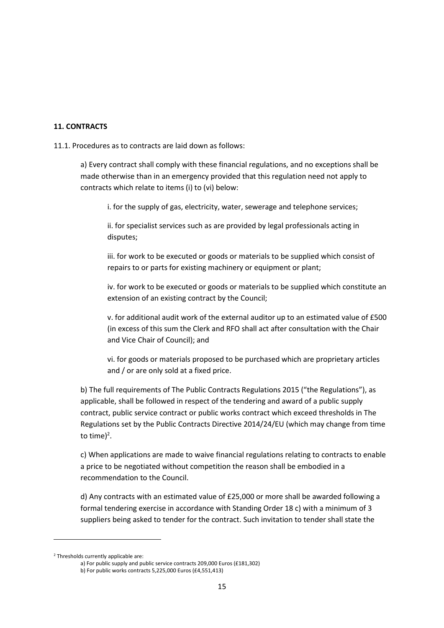#### **11. CONTRACTS**

11.1. Procedures as to contracts are laid down as follows:

a) Every contract shall comply with these financial regulations, and no exceptions shall be made otherwise than in an emergency provided that this regulation need not apply to contracts which relate to items (i) to (vi) below:

i. for the supply of gas, electricity, water, sewerage and telephone services;

ii. for specialist services such as are provided by legal professionals acting in disputes;

iii. for work to be executed or goods or materials to be supplied which consist of repairs to or parts for existing machinery or equipment or plant;

iv. for work to be executed or goods or materials to be supplied which constitute an extension of an existing contract by the Council;

v. for additional audit work of the external auditor up to an estimated value of £500 (in excess of this sum the Clerk and RFO shall act after consultation with the Chair and Vice Chair of Council); and

vi. for goods or materials proposed to be purchased which are proprietary articles and / or are only sold at a fixed price.

b) The full requirements of The Public Contracts Regulations 2015 ("the Regulations"), as applicable, shall be followed in respect of the tendering and award of a public supply contract, public service contract or public works contract which exceed thresholds in The Regulations set by the Public Contracts Directive 2014/24/EU (which may change from time to time) $^2$ .

c) When applications are made to waive financial regulations relating to contracts to enable a price to be negotiated without competition the reason shall be embodied in a recommendation to the Council.

d) Any contracts with an estimated value of £25,000 or more shall be awarded following a formal tendering exercise in accordance with Standing Order 18 c) with a minimum of 3 suppliers being asked to tender for the contract. Such invitation to tender shall state the

<sup>2</sup> Thresholds currently applicable are:

a) For public supply and public service contracts 209,000 Euros (£181,302)

b) For public works contracts 5,225,000 Euros (£4,551,413)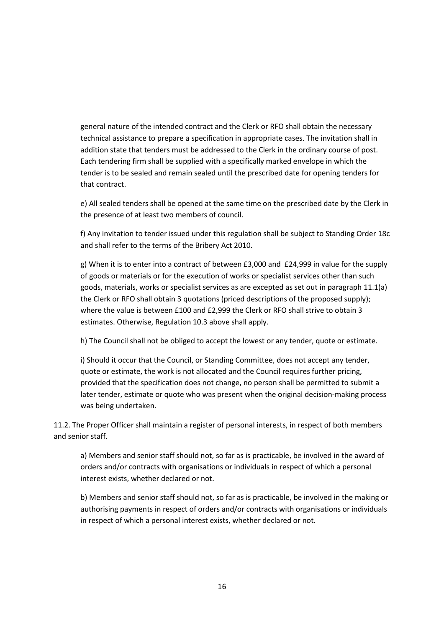general nature of the intended contract and the Clerk or RFO shall obtain the necessary technical assistance to prepare a specification in appropriate cases. The invitation shall in addition state that tenders must be addressed to the Clerk in the ordinary course of post. Each tendering firm shall be supplied with a specifically marked envelope in which the tender is to be sealed and remain sealed until the prescribed date for opening tenders for that contract.

e) All sealed tenders shall be opened at the same time on the prescribed date by the Clerk in the presence of at least two members of council.

f) Any invitation to tender issued under this regulation shall be subject to Standing Order 18c and shall refer to the terms of the Bribery Act 2010.

g) When it is to enter into a contract of between £3,000 and £24,999 in value for the supply of goods or materials or for the execution of works or specialist services other than such goods, materials, works or specialist services as are excepted as set out in paragraph 11.1(a) the Clerk or RFO shall obtain 3 quotations (priced descriptions of the proposed supply); where the value is between £100 and £2,999 the Clerk or RFO shall strive to obtain 3 estimates. Otherwise, Regulation 10.3 above shall apply.

h) The Council shall not be obliged to accept the lowest or any tender, quote or estimate.

i) Should it occur that the Council, or Standing Committee, does not accept any tender, quote or estimate, the work is not allocated and the Council requires further pricing, provided that the specification does not change, no person shall be permitted to submit a later tender, estimate or quote who was present when the original decision-making process was being undertaken.

11.2. The Proper Officer shall maintain a register of personal interests, in respect of both members and senior staff.

a) Members and senior staff should not, so far as is practicable, be involved in the award of orders and/or contracts with organisations or individuals in respect of which a personal interest exists, whether declared or not.

b) Members and senior staff should not, so far as is practicable, be involved in the making or authorising payments in respect of orders and/or contracts with organisations or individuals in respect of which a personal interest exists, whether declared or not.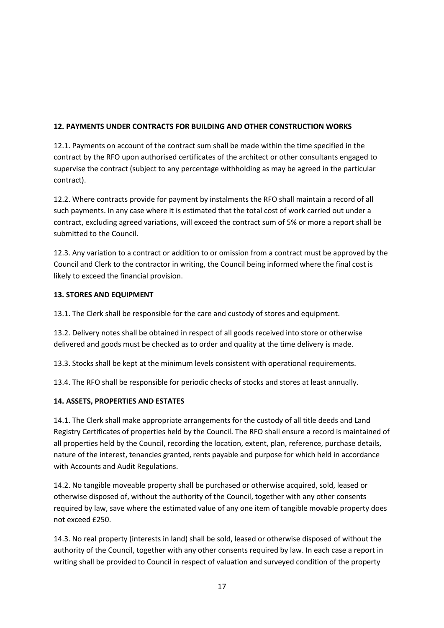## **12. PAYMENTS UNDER CONTRACTS FOR BUILDING AND OTHER CONSTRUCTION WORKS**

12.1. Payments on account of the contract sum shall be made within the time specified in the contract by the RFO upon authorised certificates of the architect or other consultants engaged to supervise the contract (subject to any percentage withholding as may be agreed in the particular contract).

12.2. Where contracts provide for payment by instalments the RFO shall maintain a record of all such payments. In any case where it is estimated that the total cost of work carried out under a contract, excluding agreed variations, will exceed the contract sum of 5% or more a report shall be submitted to the Council.

12.3. Any variation to a contract or addition to or omission from a contract must be approved by the Council and Clerk to the contractor in writing, the Council being informed where the final cost is likely to exceed the financial provision.

### **13. STORES AND EQUIPMENT**

13.1. The Clerk shall be responsible for the care and custody of stores and equipment.

13.2. Delivery notes shall be obtained in respect of all goods received into store or otherwise delivered and goods must be checked as to order and quality at the time delivery is made.

13.3. Stocks shall be kept at the minimum levels consistent with operational requirements.

13.4. The RFO shall be responsible for periodic checks of stocks and stores at least annually.

## **14. ASSETS, PROPERTIES AND ESTATES**

14.1. The Clerk shall make appropriate arrangements for the custody of all title deeds and Land Registry Certificates of properties held by the Council. The RFO shall ensure a record is maintained of all properties held by the Council, recording the location, extent, plan, reference, purchase details, nature of the interest, tenancies granted, rents payable and purpose for which held in accordance with Accounts and Audit Regulations.

14.2. No tangible moveable property shall be purchased or otherwise acquired, sold, leased or otherwise disposed of, without the authority of the Council, together with any other consents required by law, save where the estimated value of any one item of tangible movable property does not exceed £250.

14.3. No real property (interests in land) shall be sold, leased or otherwise disposed of without the authority of the Council, together with any other consents required by law. In each case a report in writing shall be provided to Council in respect of valuation and surveyed condition of the property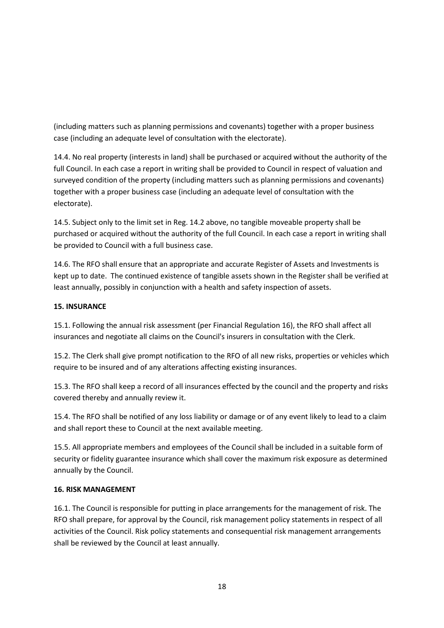(including matters such as planning permissions and covenants) together with a proper business case (including an adequate level of consultation with the electorate).

14.4. No real property (interests in land) shall be purchased or acquired without the authority of the full Council. In each case a report in writing shall be provided to Council in respect of valuation and surveyed condition of the property (including matters such as planning permissions and covenants) together with a proper business case (including an adequate level of consultation with the electorate).

14.5. Subject only to the limit set in Reg. 14.2 above, no tangible moveable property shall be purchased or acquired without the authority of the full Council. In each case a report in writing shall be provided to Council with a full business case.

14.6. The RFO shall ensure that an appropriate and accurate Register of Assets and Investments is kept up to date. The continued existence of tangible assets shown in the Register shall be verified at least annually, possibly in conjunction with a health and safety inspection of assets.

#### **15. INSURANCE**

15.1. Following the annual risk assessment (per Financial Regulation 16), the RFO shall affect all insurances and negotiate all claims on the Council's insurers in consultation with the Clerk.

15.2. The Clerk shall give prompt notification to the RFO of all new risks, properties or vehicles which require to be insured and of any alterations affecting existing insurances.

15.3. The RFO shall keep a record of all insurances effected by the council and the property and risks covered thereby and annually review it.

15.4. The RFO shall be notified of any loss liability or damage or of any event likely to lead to a claim and shall report these to Council at the next available meeting.

15.5. All appropriate members and employees of the Council shall be included in a suitable form of security or fidelity guarantee insurance which shall cover the maximum risk exposure as determined annually by the Council.

#### **16. RISK MANAGEMENT**

16.1. The Council is responsible for putting in place arrangements for the management of risk. The RFO shall prepare, for approval by the Council, risk management policy statements in respect of all activities of the Council. Risk policy statements and consequential risk management arrangements shall be reviewed by the Council at least annually.